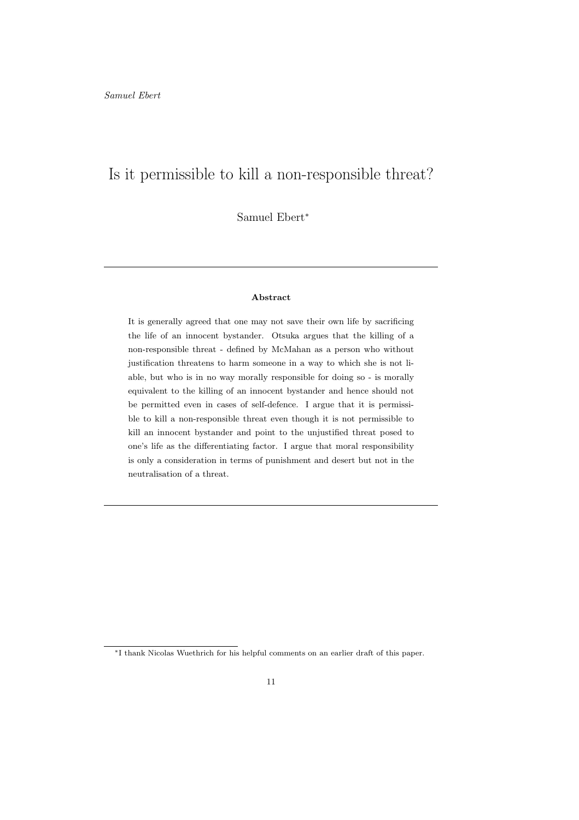# Is it permissible to kill a non-responsible threat?

Samuel Ebert<sup>∗</sup>

#### Abstract

It is generally agreed that one may not save their own life by sacrificing the life of an innocent bystander. Otsuka argues that the killing of a non-responsible threat - defined by McMahan as a person who without justification threatens to harm someone in a way to which she is not liable, but who is in no way morally responsible for doing so - is morally equivalent to the killing of an innocent bystander and hence should not be permitted even in cases of self-defence. I argue that it is permissible to kill a non-responsible threat even though it is not permissible to kill an innocent bystander and point to the unjustified threat posed to one's life as the differentiating factor. I argue that moral responsibility is only a consideration in terms of punishment and desert but not in the neutralisation of a threat.

<sup>∗</sup>I thank Nicolas Wuethrich for his helpful comments on an earlier draft of this paper.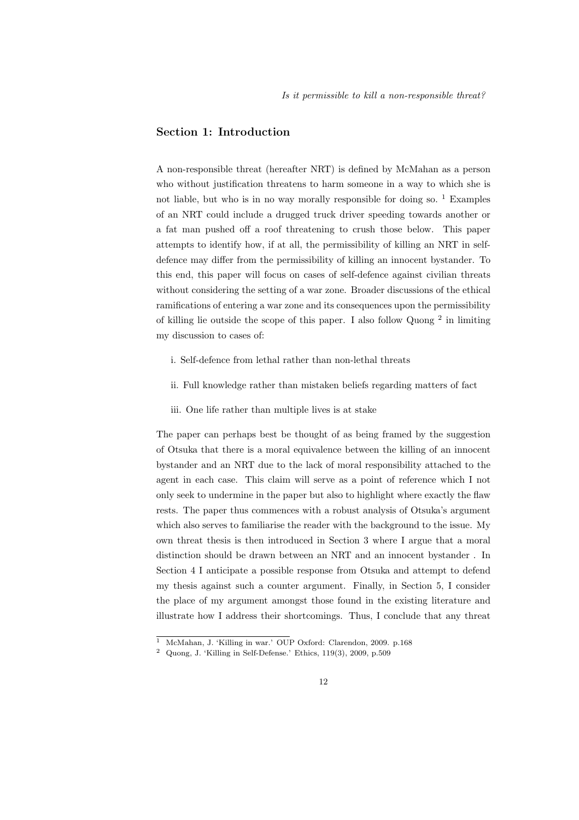# Section 1: Introduction

A non-responsible threat (hereafter NRT) is defined by McMahan as a person who without justification threatens to harm someone in a way to which she is not liable, but who is in no way morally responsible for doing so.  $1$  Examples of an NRT could include a drugged truck driver speeding towards another or a fat man pushed off a roof threatening to crush those below. This paper attempts to identify how, if at all, the permissibility of killing an NRT in selfdefence may differ from the permissibility of killing an innocent bystander. To this end, this paper will focus on cases of self-defence against civilian threats without considering the setting of a war zone. Broader discussions of the ethical ramifications of entering a war zone and its consequences upon the permissibility of killing lie outside the scope of this paper. I also follow Quong<sup>2</sup> in limiting my discussion to cases of:

- i. Self-defence from lethal rather than non-lethal threats
- ii. Full knowledge rather than mistaken beliefs regarding matters of fact
- iii. One life rather than multiple lives is at stake

The paper can perhaps best be thought of as being framed by the suggestion of Otsuka that there is a moral equivalence between the killing of an innocent bystander and an NRT due to the lack of moral responsibility attached to the agent in each case. This claim will serve as a point of reference which I not only seek to undermine in the paper but also to highlight where exactly the flaw rests. The paper thus commences with a robust analysis of Otsuka's argument which also serves to familiarise the reader with the background to the issue. My own threat thesis is then introduced in Section 3 where I argue that a moral distinction should be drawn between an NRT and an innocent bystander . In Section 4 I anticipate a possible response from Otsuka and attempt to defend my thesis against such a counter argument. Finally, in Section 5, I consider the place of my argument amongst those found in the existing literature and illustrate how I address their shortcomings. Thus, I conclude that any threat

<sup>1</sup> McMahan, J. 'Killing in war.' OUP Oxford: Clarendon, 2009. p.168

<sup>2</sup> Quong, J. 'Killing in Self-Defense.' Ethics, 119(3), 2009, p.509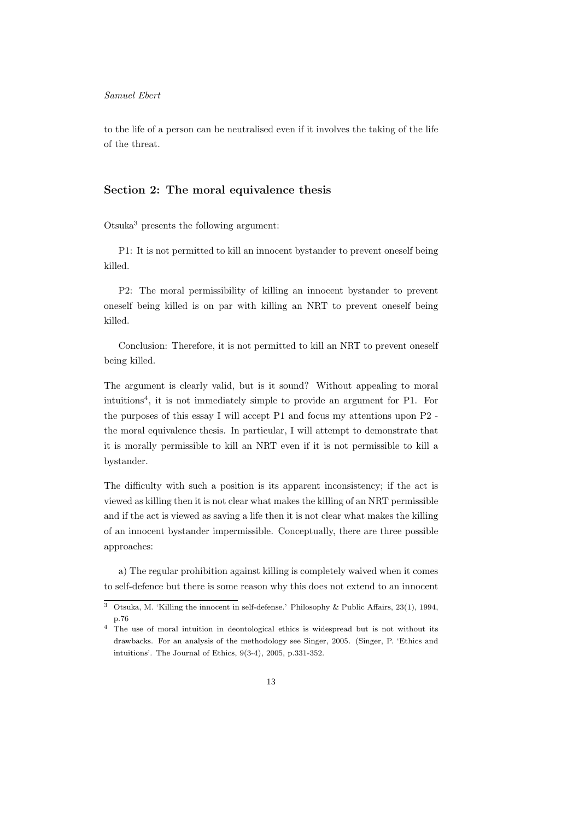to the life of a person can be neutralised even if it involves the taking of the life of the threat.

# Section 2: The moral equivalence thesis

Otsuka<sup>3</sup> presents the following argument:

P1: It is not permitted to kill an innocent bystander to prevent oneself being killed.

P2: The moral permissibility of killing an innocent bystander to prevent oneself being killed is on par with killing an NRT to prevent oneself being killed.

Conclusion: Therefore, it is not permitted to kill an NRT to prevent oneself being killed.

The argument is clearly valid, but is it sound? Without appealing to moral intuitions<sup>4</sup> , it is not immediately simple to provide an argument for P1. For the purposes of this essay I will accept P1 and focus my attentions upon P2 the moral equivalence thesis. In particular, I will attempt to demonstrate that it is morally permissible to kill an NRT even if it is not permissible to kill a bystander.

The difficulty with such a position is its apparent inconsistency; if the act is viewed as killing then it is not clear what makes the killing of an NRT permissible and if the act is viewed as saving a life then it is not clear what makes the killing of an innocent bystander impermissible. Conceptually, there are three possible approaches:

a) The regular prohibition against killing is completely waived when it comes to self-defence but there is some reason why this does not extend to an innocent

<sup>3</sup> Otsuka, M. 'Killing the innocent in self-defense.' Philosophy & Public Affairs, 23(1), 1994, p.76

<sup>4</sup> The use of moral intuition in deontological ethics is widespread but is not without its drawbacks. For an analysis of the methodology see Singer, 2005. (Singer, P. 'Ethics and intuitions'. The Journal of Ethics, 9(3-4), 2005, p.331-352.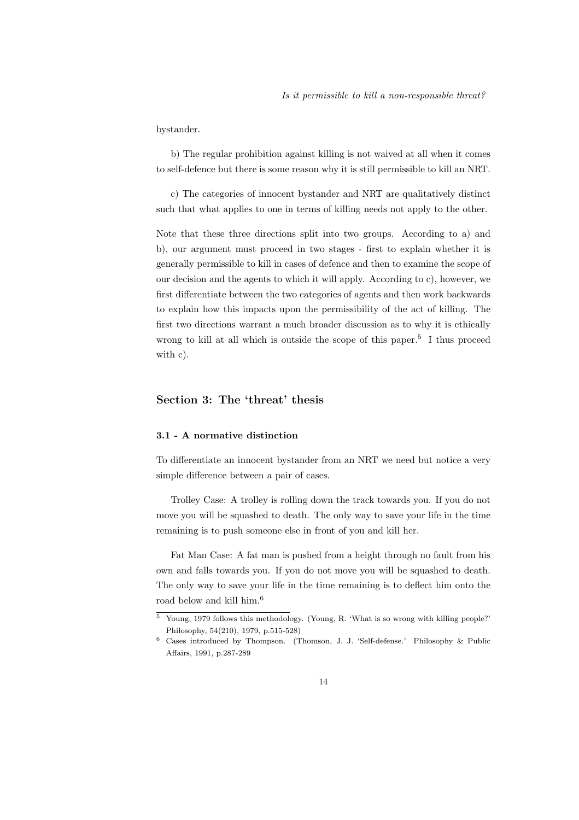bystander.

b) The regular prohibition against killing is not waived at all when it comes to self-defence but there is some reason why it is still permissible to kill an NRT.

c) The categories of innocent bystander and NRT are qualitatively distinct such that what applies to one in terms of killing needs not apply to the other.

Note that these three directions split into two groups. According to a) and b), our argument must proceed in two stages - first to explain whether it is generally permissible to kill in cases of defence and then to examine the scope of our decision and the agents to which it will apply. According to c), however, we first differentiate between the two categories of agents and then work backwards to explain how this impacts upon the permissibility of the act of killing. The first two directions warrant a much broader discussion as to why it is ethically wrong to kill at all which is outside the scope of this paper.<sup>5</sup> I thus proceed with c).

# Section 3: The 'threat' thesis

## 3.1 - A normative distinction

To differentiate an innocent bystander from an NRT we need but notice a very simple difference between a pair of cases.

Trolley Case: A trolley is rolling down the track towards you. If you do not move you will be squashed to death. The only way to save your life in the time remaining is to push someone else in front of you and kill her.

Fat Man Case: A fat man is pushed from a height through no fault from his own and falls towards you. If you do not move you will be squashed to death. The only way to save your life in the time remaining is to deflect him onto the road below and kill him.<sup>6</sup>

 $\overline{5}$  Young, 1979 follows this methodology. (Young, R. 'What is so wrong with killing people?' Philosophy, 54(210), 1979, p.515-528)

<sup>6</sup> Cases introduced by Thompson. (Thomson, J. J. 'Self-defense.' Philosophy & Public Affairs, 1991, p.287-289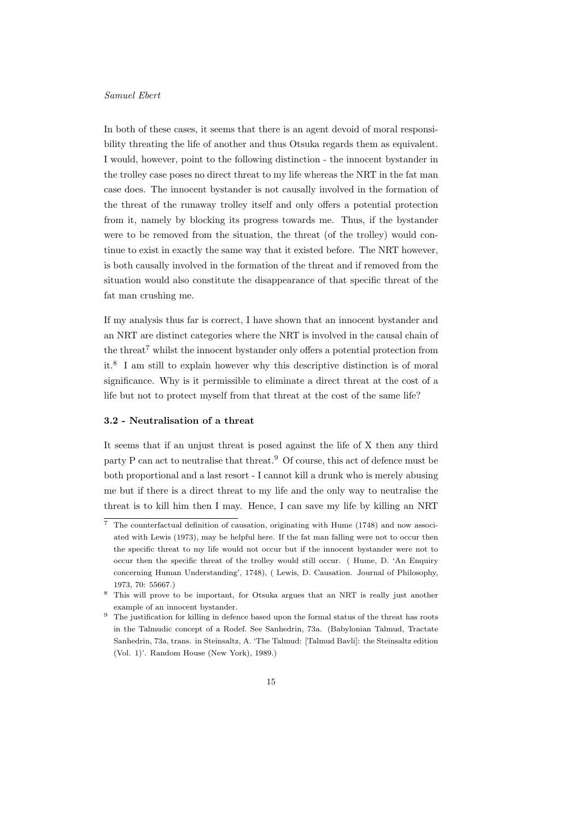In both of these cases, it seems that there is an agent devoid of moral responsibility threating the life of another and thus Otsuka regards them as equivalent. I would, however, point to the following distinction - the innocent bystander in the trolley case poses no direct threat to my life whereas the NRT in the fat man case does. The innocent bystander is not causally involved in the formation of the threat of the runaway trolley itself and only offers a potential protection from it, namely by blocking its progress towards me. Thus, if the bystander were to be removed from the situation, the threat (of the trolley) would continue to exist in exactly the same way that it existed before. The NRT however, is both causally involved in the formation of the threat and if removed from the situation would also constitute the disappearance of that specific threat of the fat man crushing me.

If my analysis thus far is correct, I have shown that an innocent bystander and an NRT are distinct categories where the NRT is involved in the causal chain of the threat<sup>7</sup> whilst the innocent bystander only offers a potential protection from it.<sup>8</sup> I am still to explain however why this descriptive distinction is of moral significance. Why is it permissible to eliminate a direct threat at the cost of a life but not to protect myself from that threat at the cost of the same life?

### 3.2 - Neutralisation of a threat

It seems that if an unjust threat is posed against the life of X then any third party P can act to neutralise that threat.<sup>9</sup> Of course, this act of defence must be both proportional and a last resort - I cannot kill a drunk who is merely abusing me but if there is a direct threat to my life and the only way to neutralise the threat is to kill him then I may. Hence, I can save my life by killing an NRT

<sup>7</sup> The counterfactual definition of causation, originating with Hume (1748) and now associated with Lewis (1973), may be helpful here. If the fat man falling were not to occur then the specific threat to my life would not occur but if the innocent bystander were not to occur then the specific threat of the trolley would still occur. ( Hume, D. 'An Enquiry concerning Human Understanding', 1748), ( Lewis, D. Causation. Journal of Philosophy, 1973, 70: 55667.)

<sup>8</sup> This will prove to be important, for Otsuka argues that an NRT is really just another example of an innocent bystander.

<sup>&</sup>lt;sup>9</sup> The justification for killing in defence based upon the formal status of the threat has roots in the Talmudic concept of a Rodef. See Sanhedrin, 73a. (Babylonian Talmud, Tractate Sanhedrin, 73a, trans. in Steinsaltz, A. 'The Talmud: [Talmud Bavli]: the Steinsaltz edition (Vol. 1)'. Random House (New York), 1989.)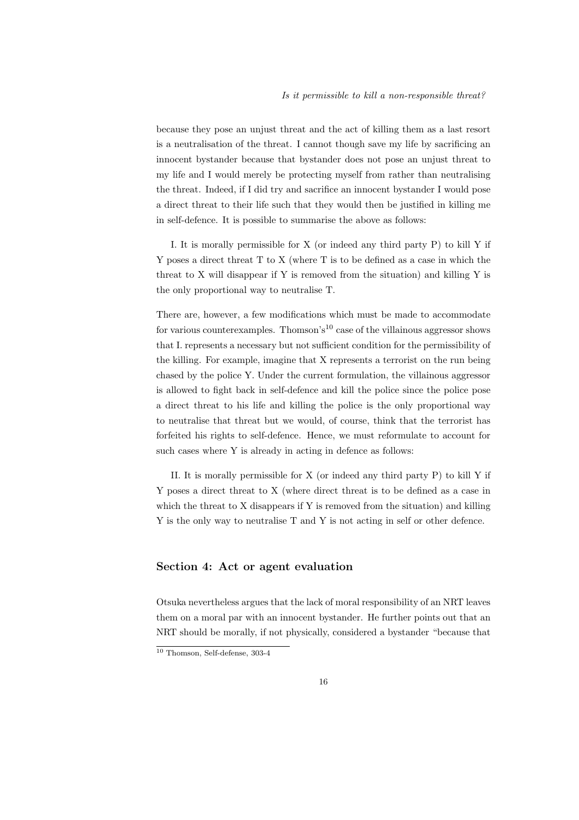because they pose an unjust threat and the act of killing them as a last resort is a neutralisation of the threat. I cannot though save my life by sacrificing an innocent bystander because that bystander does not pose an unjust threat to my life and I would merely be protecting myself from rather than neutralising the threat. Indeed, if I did try and sacrifice an innocent bystander I would pose a direct threat to their life such that they would then be justified in killing me in self-defence. It is possible to summarise the above as follows:

I. It is morally permissible for X (or indeed any third party P) to kill Y if Y poses a direct threat T to X (where T is to be defined as a case in which the threat to X will disappear if Y is removed from the situation) and killing Y is the only proportional way to neutralise T.

There are, however, a few modifications which must be made to accommodate for various counterexamples. Thomson's<sup>10</sup> case of the villainous aggressor shows that I. represents a necessary but not sufficient condition for the permissibility of the killing. For example, imagine that X represents a terrorist on the run being chased by the police Y. Under the current formulation, the villainous aggressor is allowed to fight back in self-defence and kill the police since the police pose a direct threat to his life and killing the police is the only proportional way to neutralise that threat but we would, of course, think that the terrorist has forfeited his rights to self-defence. Hence, we must reformulate to account for such cases where Y is already in acting in defence as follows:

II. It is morally permissible for X (or indeed any third party P) to kill Y if Y poses a direct threat to X (where direct threat is to be defined as a case in which the threat to X disappears if Y is removed from the situation) and killing Y is the only way to neutralise T and Y is not acting in self or other defence.

# Section 4: Act or agent evaluation

Otsuka nevertheless argues that the lack of moral responsibility of an NRT leaves them on a moral par with an innocent bystander. He further points out that an NRT should be morally, if not physically, considered a bystander "because that

<sup>10</sup> Thomson, Self-defense, 303-4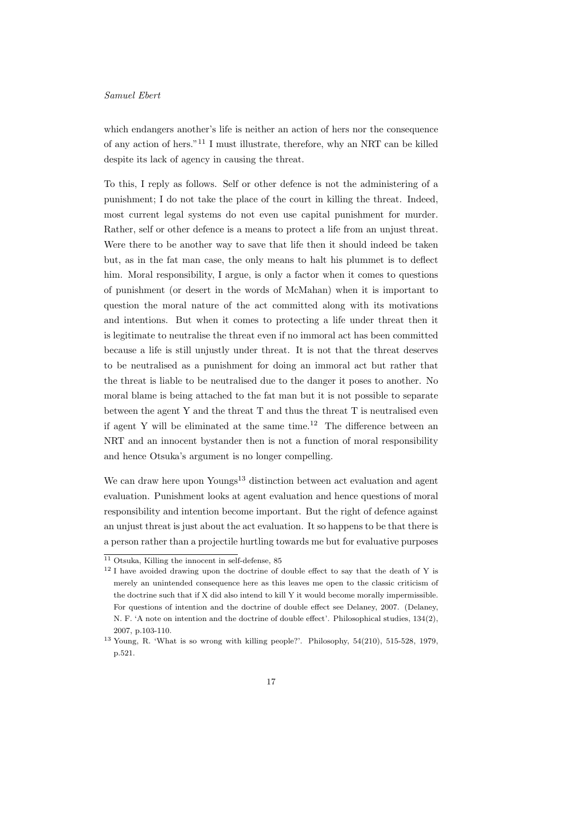which endangers another's life is neither an action of hers nor the consequence of any action of hers."<sup>11</sup> I must illustrate, therefore, why an NRT can be killed despite its lack of agency in causing the threat.

To this, I reply as follows. Self or other defence is not the administering of a punishment; I do not take the place of the court in killing the threat. Indeed, most current legal systems do not even use capital punishment for murder. Rather, self or other defence is a means to protect a life from an unjust threat. Were there to be another way to save that life then it should indeed be taken but, as in the fat man case, the only means to halt his plummet is to deflect him. Moral responsibility, I argue, is only a factor when it comes to questions of punishment (or desert in the words of McMahan) when it is important to question the moral nature of the act committed along with its motivations and intentions. But when it comes to protecting a life under threat then it is legitimate to neutralise the threat even if no immoral act has been committed because a life is still unjustly under threat. It is not that the threat deserves to be neutralised as a punishment for doing an immoral act but rather that the threat is liable to be neutralised due to the danger it poses to another. No moral blame is being attached to the fat man but it is not possible to separate between the agent Y and the threat T and thus the threat T is neutralised even if agent Y will be eliminated at the same time.<sup>12</sup> The difference between an NRT and an innocent bystander then is not a function of moral responsibility and hence Otsuka's argument is no longer compelling.

We can draw here upon Youngs<sup>13</sup> distinction between act evaluation and agent evaluation. Punishment looks at agent evaluation and hence questions of moral responsibility and intention become important. But the right of defence against an unjust threat is just about the act evaluation. It so happens to be that there is a person rather than a projectile hurtling towards me but for evaluative purposes

 $11$  Otsuka, Killing the innocent in self-defense, 85

<sup>&</sup>lt;sup>12</sup> I have avoided drawing upon the doctrine of double effect to say that the death of Y is merely an unintended consequence here as this leaves me open to the classic criticism of the doctrine such that if X did also intend to kill Y it would become morally impermissible. For questions of intention and the doctrine of double effect see Delaney, 2007. (Delaney, N. F. 'A note on intention and the doctrine of double effect'. Philosophical studies, 134(2), 2007, p.103-110.

<sup>13</sup> Young, R. 'What is so wrong with killing people?'. Philosophy, 54(210), 515-528, 1979, p.521.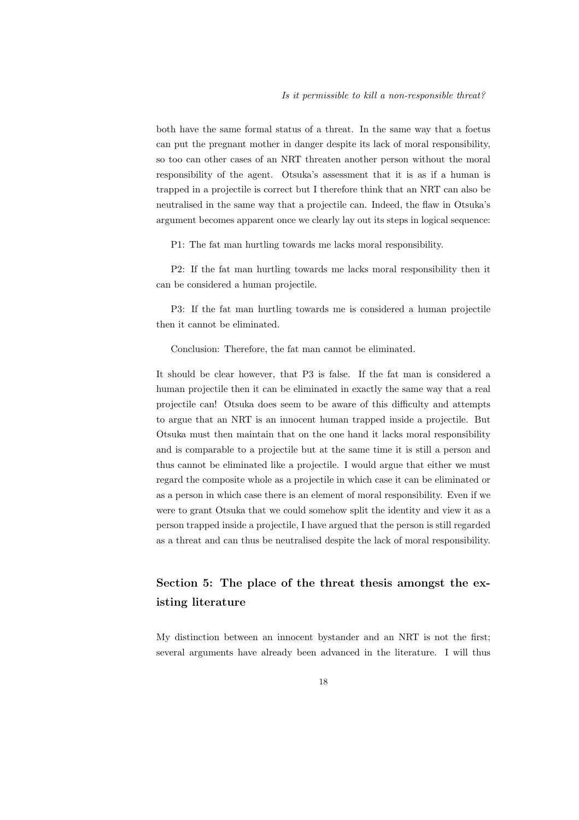both have the same formal status of a threat. In the same way that a foetus can put the pregnant mother in danger despite its lack of moral responsibility, so too can other cases of an NRT threaten another person without the moral responsibility of the agent. Otsuka's assessment that it is as if a human is trapped in a projectile is correct but I therefore think that an NRT can also be neutralised in the same way that a projectile can. Indeed, the flaw in Otsuka's argument becomes apparent once we clearly lay out its steps in logical sequence:

P1: The fat man hurtling towards me lacks moral responsibility.

P2: If the fat man hurtling towards me lacks moral responsibility then it can be considered a human projectile.

P3: If the fat man hurtling towards me is considered a human projectile then it cannot be eliminated.

Conclusion: Therefore, the fat man cannot be eliminated.

It should be clear however, that P3 is false. If the fat man is considered a human projectile then it can be eliminated in exactly the same way that a real projectile can! Otsuka does seem to be aware of this difficulty and attempts to argue that an NRT is an innocent human trapped inside a projectile. But Otsuka must then maintain that on the one hand it lacks moral responsibility and is comparable to a projectile but at the same time it is still a person and thus cannot be eliminated like a projectile. I would argue that either we must regard the composite whole as a projectile in which case it can be eliminated or as a person in which case there is an element of moral responsibility. Even if we were to grant Otsuka that we could somehow split the identity and view it as a person trapped inside a projectile, I have argued that the person is still regarded as a threat and can thus be neutralised despite the lack of moral responsibility.

# Section 5: The place of the threat thesis amongst the existing literature

My distinction between an innocent bystander and an NRT is not the first; several arguments have already been advanced in the literature. I will thus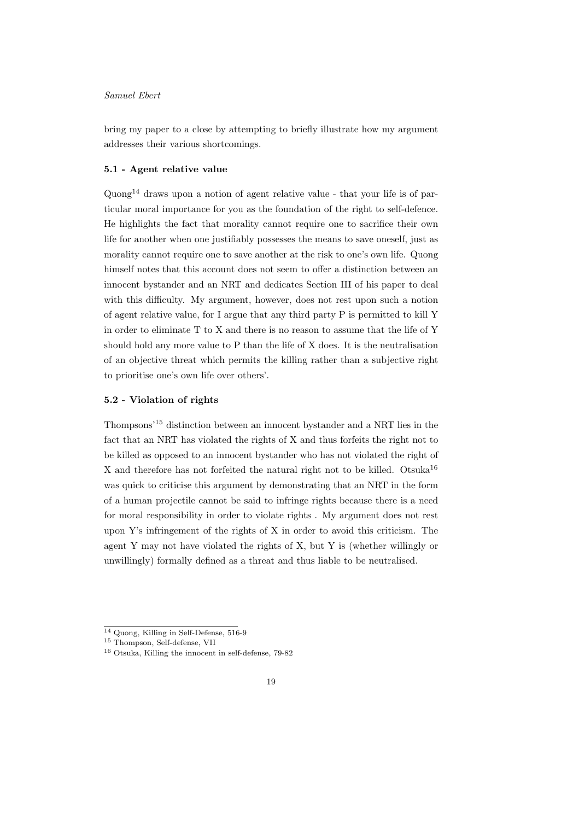bring my paper to a close by attempting to briefly illustrate how my argument addresses their various shortcomings.

#### 5.1 - Agent relative value

Quong<sup>14</sup> draws upon a notion of agent relative value - that your life is of particular moral importance for you as the foundation of the right to self-defence. He highlights the fact that morality cannot require one to sacrifice their own life for another when one justifiably possesses the means to save oneself, just as morality cannot require one to save another at the risk to one's own life. Quong himself notes that this account does not seem to offer a distinction between an innocent bystander and an NRT and dedicates Section III of his paper to deal with this difficulty. My argument, however, does not rest upon such a notion of agent relative value, for I argue that any third party P is permitted to kill Y in order to eliminate T to X and there is no reason to assume that the life of Y should hold any more value to P than the life of X does. It is the neutralisation of an objective threat which permits the killing rather than a subjective right to prioritise one's own life over others'.

### 5.2 - Violation of rights

Thompsons'<sup>15</sup> distinction between an innocent bystander and a NRT lies in the fact that an NRT has violated the rights of X and thus forfeits the right not to be killed as opposed to an innocent bystander who has not violated the right of X and therefore has not forfeited the natural right not to be killed. Otsuka<sup>16</sup> was quick to criticise this argument by demonstrating that an NRT in the form of a human projectile cannot be said to infringe rights because there is a need for moral responsibility in order to violate rights . My argument does not rest upon Y's infringement of the rights of X in order to avoid this criticism. The agent Y may not have violated the rights of X, but Y is (whether willingly or unwillingly) formally defined as a threat and thus liable to be neutralised.

<sup>14</sup> Quong, Killing in Self-Defense, 516-9

<sup>15</sup> Thompson, Self-defense, VII

<sup>16</sup> Otsuka, Killing the innocent in self-defense, 79-82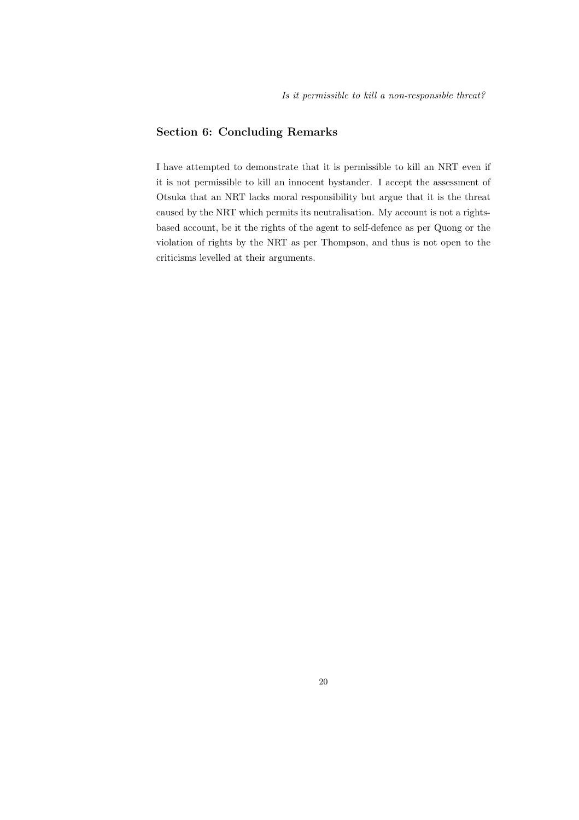# Section 6: Concluding Remarks

I have attempted to demonstrate that it is permissible to kill an NRT even if it is not permissible to kill an innocent bystander. I accept the assessment of Otsuka that an NRT lacks moral responsibility but argue that it is the threat caused by the NRT which permits its neutralisation. My account is not a rightsbased account, be it the rights of the agent to self-defence as per Quong or the violation of rights by the NRT as per Thompson, and thus is not open to the criticisms levelled at their arguments.